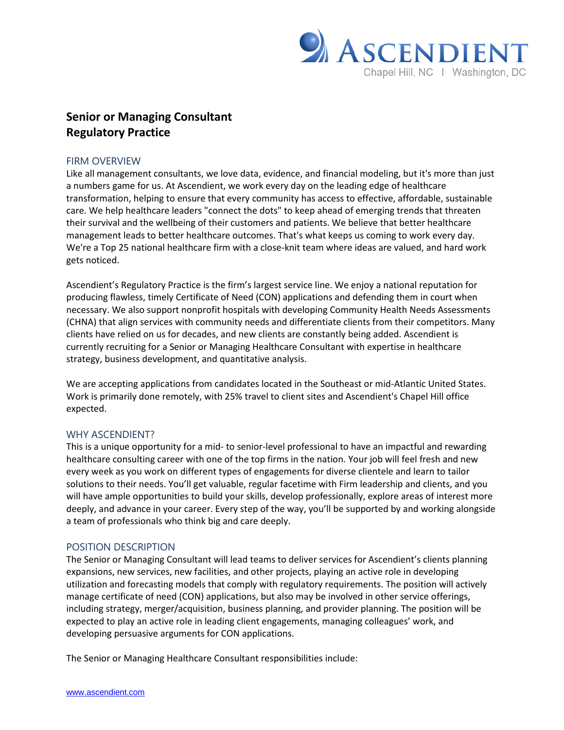

# **Senior or Managing Consultant Regulatory Practice**

# FIRM OVERVIEW

Like all management consultants, we love data, evidence, and financial modeling, but it's more than just a numbers game for us. At Ascendient, we work every day on the leading edge of healthcare transformation, helping to ensure that every community has access to effective, affordable, sustainable care. We help healthcare leaders "connect the dots" to keep ahead of emerging trends that threaten their survival and the wellbeing of their customers and patients. We believe that better healthcare management leads to better healthcare outcomes. That's what keeps us coming to work every day. We're a Top 25 national healthcare firm with a close-knit team where ideas are valued, and hard work gets noticed.

Ascendient's Regulatory Practice is the firm's largest service line. We enjoy a national reputation for producing flawless, timely Certificate of Need (CON) applications and defending them in court when necessary. We also support nonprofit hospitals with developing Community Health Needs Assessments (CHNA) that align services with community needs and differentiate clients from their competitors. Many clients have relied on us for decades, and new clients are constantly being added. Ascendient is currently recruiting for a Senior or Managing Healthcare Consultant with expertise in healthcare strategy, business development, and quantitative analysis.

We are accepting applications from candidates located in the Southeast or mid-Atlantic United States. Work is primarily done remotely, with 25% travel to client sites and Ascendient's Chapel Hill office expected.

### WHY ASCENDIENT?

This is a unique opportunity for a mid- to senior-level professional to have an impactful and rewarding healthcare consulting career with one of the top firms in the nation. Your job will feel fresh and new every week as you work on different types of engagements for diverse clientele and learn to tailor solutions to their needs. You'll get valuable, regular facetime with Firm leadership and clients, and you will have ample opportunities to build your skills, develop professionally, explore areas of interest more deeply, and advance in your career. Every step of the way, you'll be supported by and working alongside a team of professionals who think big and care deeply.

# POSITION DESCRIPTION

The Senior or Managing Consultant will lead teams to deliver services for Ascendient's clients planning expansions, new services, new facilities, and other projects, playing an active role in developing utilization and forecasting models that comply with regulatory requirements. The position will actively manage certificate of need (CON) applications, but also may be involved in other service offerings, including strategy, merger/acquisition, business planning, and provider planning. The position will be expected to play an active role in leading client engagements, managing colleagues' work, and developing persuasive arguments for CON applications.

The Senior or Managing Healthcare Consultant responsibilities include: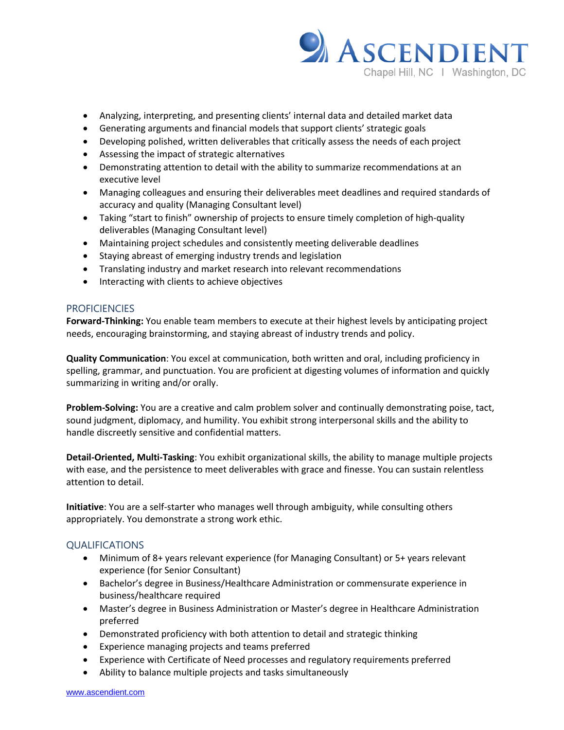

- Analyzing, interpreting, and presenting clients' internal data and detailed market data
- Generating arguments and financial models that support clients' strategic goals
- Developing polished, written deliverables that critically assess the needs of each project
- Assessing the impact of strategic alternatives
- Demonstrating attention to detail with the ability to summarize recommendations at an executive level
- Managing colleagues and ensuring their deliverables meet deadlines and required standards of accuracy and quality (Managing Consultant level)
- Taking "start to finish" ownership of projects to ensure timely completion of high-quality deliverables (Managing Consultant level)
- Maintaining project schedules and consistently meeting deliverable deadlines
- Staying abreast of emerging industry trends and legislation
- Translating industry and market research into relevant recommendations
- Interacting with clients to achieve objectives

# **PROFICIENCIES**

**Forward-Thinking:** You enable team members to execute at their highest levels by anticipating project needs, encouraging brainstorming, and staying abreast of industry trends and policy.

**Quality Communication**: You excel at communication, both written and oral, including proficiency in spelling, grammar, and punctuation. You are proficient at digesting volumes of information and quickly summarizing in writing and/or orally.

**Problem-Solving:** You are a creative and calm problem solver and continually demonstrating poise, tact, sound judgment, diplomacy, and humility. You exhibit strong interpersonal skills and the ability to handle discreetly sensitive and confidential matters.

**Detail-Oriented, Multi-Tasking**: You exhibit organizational skills, the ability to manage multiple projects with ease, and the persistence to meet deliverables with grace and finesse. You can sustain relentless attention to detail.

**Initiative**: You are a self-starter who manages well through ambiguity, while consulting others appropriately. You demonstrate a strong work ethic.

### QUALIFICATIONS

- Minimum of 8+ years relevant experience (for Managing Consultant) or 5+ years relevant experience (for Senior Consultant)
- Bachelor's degree in Business/Healthcare Administration or commensurate experience in business/healthcare required
- Master's degree in Business Administration or Master's degree in Healthcare Administration preferred
- Demonstrated proficiency with both attention to detail and strategic thinking
- Experience managing projects and teams preferred
- Experience with Certificate of Need processes and regulatory requirements preferred
- Ability to balance multiple projects and tasks simultaneously